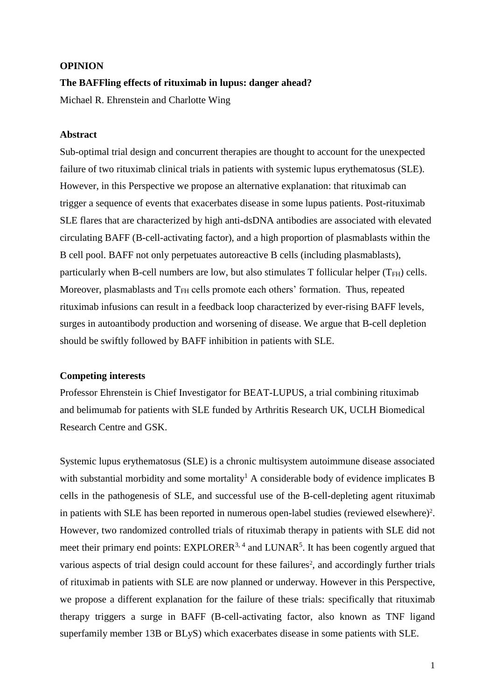### **OPINION**

#### **The BAFFling effects of rituximab in lupus: danger ahead?**

Michael R. Ehrenstein and Charlotte Wing

### **Abstract**

Sub-optimal trial design and concurrent therapies are thought to account for the unexpected failure of two rituximab clinical trials in patients with systemic lupus erythematosus (SLE). However, in this Perspective we propose an alternative explanation: that rituximab can trigger a sequence of events that exacerbates disease in some lupus patients. Post-rituximab SLE flares that are characterized by high anti-dsDNA antibodies are associated with elevated circulating BAFF (B-cell-activating factor), and a high proportion of plasmablasts within the B cell pool. BAFF not only perpetuates autoreactive B cells (including plasmablasts), particularly when B-cell numbers are low, but also stimulates  $T$  follicular helper ( $T_{FH}$ ) cells. Moreover, plasmablasts and  $T<sub>FH</sub>$  cells promote each others' formation. Thus, repeated rituximab infusions can result in a feedback loop characterized by ever-rising BAFF levels, surges in autoantibody production and worsening of disease. We argue that B-cell depletion should be swiftly followed by BAFF inhibition in patients with SLE.

## **Competing interests**

Professor Ehrenstein is Chief Investigator for BEAT-LUPUS, a trial combining rituximab and belimumab for patients with SLE funded by Arthritis Research UK, UCLH Biomedical Research Centre and GSK.

Systemic lupus erythematosus (SLE) is a chronic multisystem autoimmune disease associated with substantial morbidity and some mortality<sup>[1](#page-8-0)</sup> A considerable body of evidence implicates B cells in the pathogenesis of SLE, and successful use of the B-cell-depleting agent rituximab in patients with SLE has been reported in numerous open-label studies (reviewed elsewhere)<sup>2</sup>[.](#page-8-1) However, two randomized controlled trials of rituximab therapy in patients with SLE did not meet their primary end points:  $EXPLORER<sup>3, 4</sup>$  $EXPLORER<sup>3, 4</sup>$  $EXPLORER<sup>3, 4</sup>$  $EXPLORER<sup>3, 4</sup>$  and  $LUNAR<sup>5</sup>$  $LUNAR<sup>5</sup>$  $LUNAR<sup>5</sup>$ . It has been cogently argued that variou[s](#page-8-1) aspects of trial design could account for these failures<sup>2</sup>, and accordingly further trials of rituximab in patients with SLE are now planned or underway. However in this Perspective, we propose a different explanation for the failure of these trials: specifically that rituximab therapy triggers a surge in BAFF (B-cell-activating factor, also known as TNF ligand superfamily member 13B or BLyS) which exacerbates disease in some patients with SLE.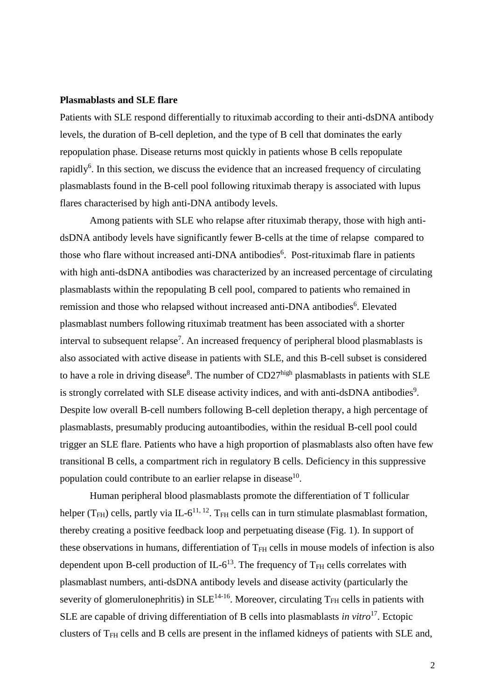#### **Plasmablasts and SLE flare**

Patients with SLE respond differentially to rituximab according to their anti-dsDNA antibody levels, the duration of B-cell depletion, and the type of B cell that dominates the early repopulation phase. Disease returns most quickly in patients whose B cells repopulate rapidly<sup>[6](#page-8-5)</sup>. In this section, we discuss the evidence that an increased frequency of circulating plasmablasts found in the B-cell pool following rituximab therapy is associated with lupus flares characterised by high anti-DNA antibody levels.

Among patients with SLE who relapse after rituximab therapy, those with high antidsDNA antibody levels have significantly fewer B-cells at the time of relapse compared to those who flare without increased anti-DNA antibodies<sup>[6](#page-8-5)</sup>. Post-rituximab flare in patients with high anti-dsDNA antibodies was characterized by an increased percentage of circulating plasmablasts within the repopulating B cell pool, compared to patients who remained in remission and those who relapsed without increased anti-DNA antibodies<sup>6</sup>[.](#page-8-5) Elevated plasmablast numbers following rituximab treatment has been associated with a shorter interval to subsequent relapse<sup>[7](#page-8-6)</sup>. An increased frequency of peripheral blood plasmablasts is also associated with active disease in patients with SLE, and this B-cell subset is considered to have a role in driving disease<sup>[8](#page-8-7)</sup>. The number of  $CD27^{\text{high}}$  plasmablasts in patients with SLE is strongly correlated with SLE disease activity indices, and with anti-dsDNA antibodies<sup>[9](#page-8-8)</sup>. Despite low overall B-cell numbers following B-cell depletion therapy, a high percentage of plasmablasts, presumably producing autoantibodies, within the residual B-cell pool could trigger an SLE flare. Patients who have a high proportion of plasmablasts also often have few transitional B cells, a compartment rich in regulatory B cells. Deficiency in this suppressive population could contribute to an earlier relapse in disease<sup>[10](#page-8-9)</sup>.

Human peripheral blood plasmablasts promote the differentiation of T follicular helper ( $T<sub>FH</sub>$ ) cells, partly via IL-6<sup>[11,](#page-9-0) [12](#page-9-1)</sup>. T<sub>FH</sub> cells can in turn stimulate plasmablast formation, thereby creating a positive feedback loop and perpetuating disease (Fig. 1). In support of these observations in humans, differentiation of T<sub>FH</sub> cells in mouse models of infection is also dependent upon B-cell production of  $IL-6^{13}$  $IL-6^{13}$  $IL-6^{13}$ . The frequency of T<sub>FH</sub> cells correlates with plasmablast numbers, anti-dsDNA antibody levels and disease activity (particularly the severity of glomerulonephritis) in  $SLE<sup>14-16</sup>$  $SLE<sup>14-16</sup>$  $SLE<sup>14-16</sup>$ . Moreover, circulating T<sub>FH</sub> cells in patients with SLE are capable of driving differentiation of B cells into plasmablasts *in vitro*[17](#page-9-4). Ectopic clusters of TFH cells and B cells are present in the inflamed kidneys of patients with SLE and,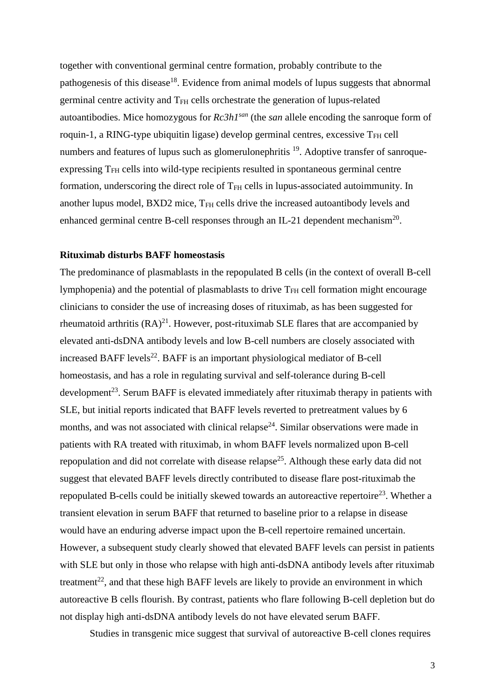together with conventional germinal centre formation, probably contribute to the pathogenesis of this disease<sup>[18](#page-9-5)</sup>. Evidence from animal models of lupus suggests that abnormal germinal centre activity and T<sub>FH</sub> cells orchestrate the generation of lupus-related autoantibodies. Mice homozygous for *Rc3h1san* (the *san* allele encoding the sanroque form of roquin-1, a RING-type ubiquitin ligase) develop germinal centres, excessive  $T<sub>FH</sub>$  cell numbers and features of lupus such as glomerulonephritis <sup>[19](#page-9-6)</sup>. Adoptive transfer of sanroqueexpressing T<sub>FH</sub> cells into wild-type recipients resulted in spontaneous germinal centre formation, underscoring the direct role of T<sub>FH</sub> cells in lupus-associated autoimmunity. In another lupus model, BXD2 mice, T<sub>FH</sub> cells drive the increased autoantibody levels and enhanced germinal centre B-cell responses through an IL-21 dependent mechanism<sup>[20](#page-9-7)</sup>.

## **Rituximab disturbs BAFF homeostasis**

The predominance of plasmablasts in the repopulated B cells (in the context of overall B-cell lymphopenia) and the potential of plasmablasts to drive  $T<sub>FH</sub>$  cell formation might encourage clinicians to consider the use of increasing doses of rituximab, as has been suggested for rheumatoid arthritis  $(RA)^{21}$  $(RA)^{21}$  $(RA)^{21}$ . However, post-rituximab SLE flares that are accompanied by elevated anti-dsDNA antibody levels and low B-cell numbers are closely associated with increased BAFF levels<sup>[22](#page-9-9)</sup>. BAFF is an important physiological mediator of B-cell homeostasis, and has a role in regulating survival and self-tolerance during B-cell development<sup>[23](#page-9-10)</sup>. Serum BAFF is elevated immediately after rituximab therapy in patients with SLE, but initial reports indicated that BAFF levels reverted to pretreatment values by 6 months, and was not associated with clinical relapse<sup>[24](#page-9-11)</sup>. Similar observations were made in patients with RA treated with rituximab, in whom BAFF levels normalized upon B-cell repopulation and did not correlate with disease relapse<sup>[25](#page-9-12)</sup>. Although these early data did not suggest that elevated BAFF levels directly contributed to disease flare post-rituximab the repopulated B-cells could be initially skewed towards an autoreactive repertoire<sup>[23](#page-9-10)</sup>. Whether a transient elevation in serum BAFF that returned to baseline prior to a relapse in disease would have an enduring adverse impact upon the B-cell repertoire remained uncertain. However, a subsequent study clearly showed that elevated BAFF levels can persist in patients with SLE but only in those who relapse with high anti-dsDNA antibody levels after rituximab treatment<sup>[22](#page-9-9)</sup>, and that these high BAFF levels are likely to provide an environment in which autoreactive B cells flourish. By contrast, patients who flare following B-cell depletion but do not display high anti-dsDNA antibody levels do not have elevated serum BAFF.

Studies in transgenic mice suggest that survival of autoreactive B-cell clones requires

3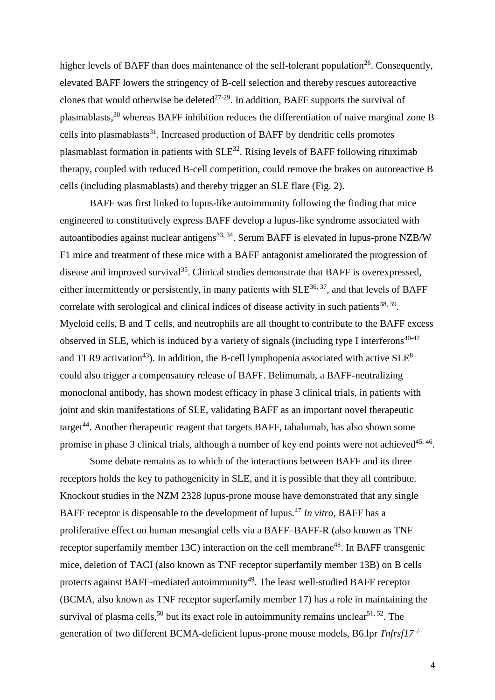higher levels of BAFF than does maintenance of the self-tolerant population<sup>[26](#page-9-13)</sup>. Consequently, elevated BAFF lowers the stringency of B-cell selection and thereby rescues autoreactive clones that would otherwise be deleted<sup>[27-29](#page-9-14)</sup>. In addition, BAFF supports the survival of plasmablasts,<sup>[30](#page-9-15)</sup> whereas BAFF inhibition reduces the differentiation of naive marginal zone B cells into plasmablasts $31$ . Increased production of BAFF by dendritic cells promotes plasmablast formation in patients with  $SLE^{32}$  $SLE^{32}$  $SLE^{32}$ . Rising levels of BAFF following rituximab therapy, coupled with reduced B-cell competition, could remove the brakes on autoreactive B cells (including plasmablasts) and thereby trigger an SLE flare (Fig. 2).

BAFF was first linked to lupus-like autoimmunity following the finding that mice engineered to constitutively express BAFF develop a lupus-like syndrome associated with autoantibodies against nuclear antigens<sup>[33,](#page-9-18) [34](#page-10-0)</sup>. Serum BAFF is elevated in lupus-prone NZB/W F1 mice and treatment of these mice with a BAFF antagonist ameliorated the progression of disease and improved survival<sup>[35](#page-10-1)</sup>. Clinical studies demonstrate that BAFF is overexpressed, either intermittently or persistently, in many patients with  $SLE^{36, 37}$  $SLE^{36, 37}$  $SLE^{36, 37}$  $SLE^{36, 37}$ , and that levels of BAFF correlate with serological and clinical indices of disease activity in such patients $38, 39$  $38, 39$ . Myeloid cells, B and T cells, and neutrophils are all thought to contribute to the BAFF excess observed in SLE, which is induced by a variety of signals (including type I interferons<sup>[40-42](#page-10-6)</sup> and TLR9 activation<sup>[43](#page-10-7)</sup>). In addition, the B-cell lymphopenia associated with active  $SLE^8$  $SLE^8$ could also trigger a compensatory release of BAFF. Belimumab, a BAFF-neutralizing monoclonal antibody, has shown modest efficacy in phase 3 clinical trials, in patients with joint and skin manifestations of SLE, validating BAFF as an important novel therapeutic target<sup>[44](#page-10-8)</sup>. Another therapeutic reagent that targets BAFF, tabalumab, has also shown some promise in phase 3 clinical trials, although a number of key end points were not achieved<sup>[45,](#page-10-9) [46](#page-10-10)</sup>.

Some debate remains as to which of the interactions between BAFF and its three receptors holds the key to pathogenicity in SLE, and it is possible that they all contribute. Knockout studies in the NZM 2328 lupus-prone mouse have demonstrated that any single BAFF receptor is dispensable to the development of lupus. [47](#page-10-11) *In vitro,* BAFF has a proliferative effect on human mesangial cells via a BAFF–BAFF-R (also known as TNF receptor superfamily member 13C) interaction on the cell membrane<sup>[48](#page-10-12)</sup>. In BAFF transgenic mice, deletion of TACI (also known as TNF receptor superfamily member 13B) on B cells protects against BAFF-mediated autoimmunity<sup>[49](#page-10-13)</sup>. The least well-studied BAFF receptor (BCMA, also known as TNF receptor superfamily member 17) has a role in maintaining the survival of plasma cells,<sup>[50](#page-10-14)</sup> but its exact role in autoimmunity remains unclear  $51, 52$  $51, 52$ . The generation of two different BCMA-deficient lupus-prone mouse models, B6.lpr *Tnfrsf17*<sup>-/-</sup>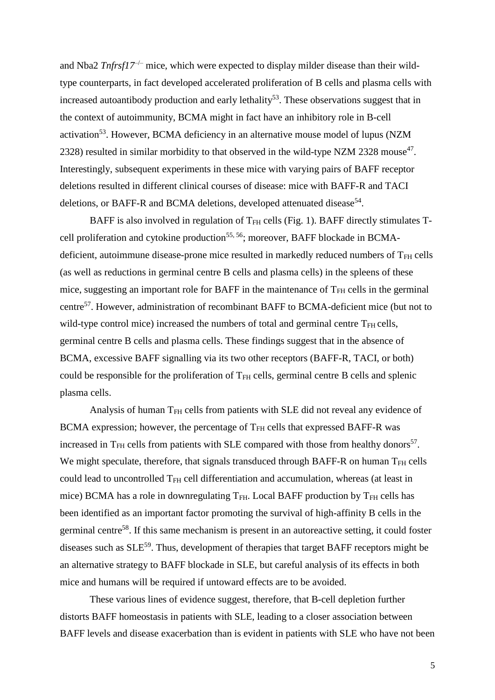and Nba2  $Tnfrsf17^{-/-}$  mice, which were expected to display milder disease than their wildtype counterparts, in fact developed accelerated proliferation of B cells and plasma cells with increased autoantibody production and early lethality<sup>[53](#page-10-17)</sup>. These observations suggest that in the context of autoimmunity, BCMA might in fact have an inhibitory role in B-cell activation<sup>[53](#page-10-17)</sup>. However, BCMA deficiency in an alternative mouse model of lupus (NZM 2328) resulted in similar morbidity to that observed in the wild-type NZM 2328 mouse<sup>[47](#page-10-11)</sup>. Interestingly, subsequent experiments in these mice with varying pairs of BAFF receptor deletions resulted in different clinical courses of disease: mice with BAFF-R and TACI deletions, or BAFF-R and BCMA deletions, developed attenuated disease<sup>[54](#page-10-18)</sup>.

BAFF is also involved in regulation of  $T<sub>FH</sub>$  cells (Fig. 1). BAFF directly stimulates  $T-$ cell proliferation and cytokine production<sup>[55,](#page-10-19) [56](#page-11-0)</sup>; moreover, BAFF blockade in BCMAdeficient, autoimmune disease-prone mice resulted in markedly reduced numbers of  $T<sub>FH</sub>$  cells (as well as reductions in germinal centre B cells and plasma cells) in the spleens of these mice, suggesting an important role for BAFF in the maintenance of  $T<sub>FH</sub>$  cells in the germinal centre[57](#page-11-1). However, administration of recombinant BAFF to BCMA-deficient mice (but not to wild-type control mice) increased the numbers of total and germinal centre  $T<sub>FH</sub>$  cells, germinal centre B cells and plasma cells. These findings suggest that in the absence of BCMA, excessive BAFF signalling via its two other receptors (BAFF-R, TACI, or both) could be responsible for the proliferation of  $T<sub>FH</sub>$  cells, germinal centre B cells and splenic plasma cells.

Analysis of human T<sub>FH</sub> cells from patients with SLE did not reveal any evidence of BCMA expression; however, the percentage of  $T<sub>FH</sub>$  cells that expressed BAFF-R was increased in  $T<sub>FH</sub>$  cells from patients with SLE compared with those from healthy donors<sup>[57](#page-11-1)</sup>. We might speculate, therefore, that signals transduced through BAFF-R on human  $T<sub>FH</sub>$  cells could lead to uncontrolled T<sub>FH</sub> cell differentiation and accumulation, whereas (at least in mice) BCMA has a role in downregulating  $T_{FH}$ . Local BAFF production by  $T_{FH}$  cells has been identified as an important factor promoting the survival of high-affinity B cells in the germinal centre<sup>[58](#page-11-2)</sup>. If this same mechanism is present in an autoreactive setting, it could foster diseases such as  $SLE^{59}$  $SLE^{59}$  $SLE^{59}$ . Thus, development of therapies that target BAFF receptors might be an alternative strategy to BAFF blockade in SLE, but careful analysis of its effects in both mice and humans will be required if untoward effects are to be avoided.

These various lines of evidence suggest, therefore, that B-cell depletion further distorts BAFF homeostasis in patients with SLE, leading to a closer association between BAFF levels and disease exacerbation than is evident in patients with SLE who have not been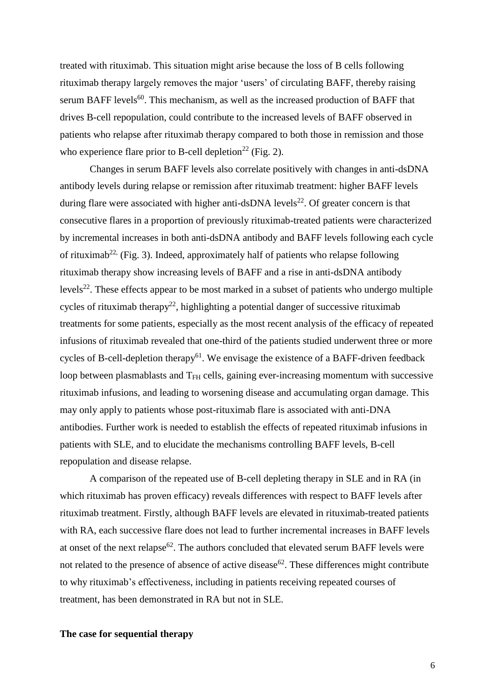treated with rituximab. This situation might arise because the loss of B cells following rituximab therapy largely removes the major 'users' of circulating BAFF, thereby raising serum BAFF levels<sup>[60](#page-11-4)</sup>. This mechanism, as well as the increased production of BAFF that drives B-cell repopulation, could contribute to the increased levels of BAFF observed in patients who relapse after rituximab therapy compared to both those in remission and those who experience flare prior to B-cell depletion<sup>[22](#page-9-9)</sup> (Fig. 2).

Changes in serum BAFF levels also correlate positively with changes in anti-dsDNA antibody levels during relapse or remission after rituximab treatment: higher BAFF levels during flare were associated with higher anti-dsDNA levels<sup>[22](#page-9-9)</sup>. Of greater concern is that consecutive flares in a proportion of previously rituximab-treated patients were characterized by incremental increases in both anti-dsDNA antibody and BAFF levels following each cycle of rituximab<sup>[22,](#page-9-9)</sup> (Fig. 3). Indeed, approximately half of patients who relapse following rituximab therapy show increasing levels of BAFF and a rise in anti-dsDNA antibody levels<sup>[22](#page-9-9)</sup>. These effects appear to be most marked in a subset of patients who undergo multiple cycles of rituximab therapy<sup>[22](#page-9-9)</sup>, highlighting a potential danger of successive rituximab treatments for some patients, especially as the most recent analysis of the efficacy of repeated infusions of rituximab revealed that one-third of the patients studied underwent three or more cycles of B-cell-depletion therapy<sup>[61](#page-11-5)</sup>. We envisage the existence of a BAFF-driven feedback loop between plasmablasts and  $T<sub>FH</sub>$  cells, gaining ever-increasing momentum with successive rituximab infusions, and leading to worsening disease and accumulating organ damage. This may only apply to patients whose post-rituximab flare is associated with anti-DNA antibodies. Further work is needed to establish the effects of repeated rituximab infusions in patients with SLE, and to elucidate the mechanisms controlling BAFF levels, B-cell repopulation and disease relapse.

A comparison of the repeated use of B-cell depleting therapy in SLE and in RA (in which rituximab has proven efficacy) reveals differences with respect to BAFF levels after rituximab treatment. Firstly, although BAFF levels are elevated in rituximab-treated patients with RA, each successive flare does not lead to further incremental increases in BAFF levels at onset of the next relapse<sup>[62](#page-11-6)</sup>. The authors concluded that elevated serum BAFF levels were not related to the presence of absence of active disease<sup>[62](#page-11-6)</sup>. These differences might contribute to why rituximab's effectiveness, including in patients receiving repeated courses of treatment, has been demonstrated in RA but not in SLE.

**The case for sequential therapy**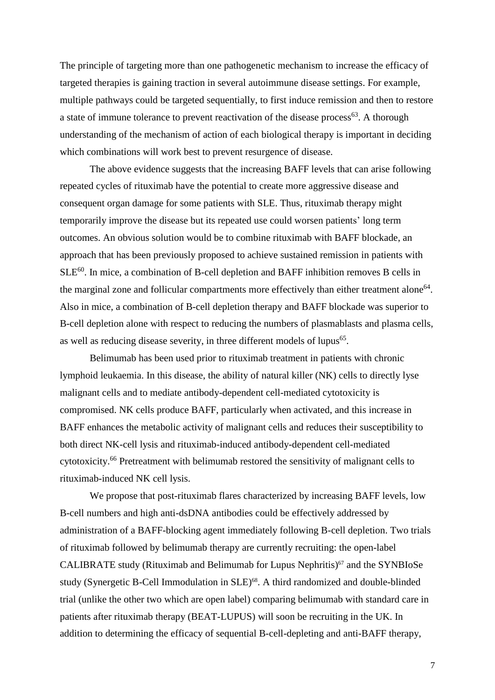The principle of targeting more than one pathogenetic mechanism to increase the efficacy of targeted therapies is gaining traction in several autoimmune disease settings. For example, multiple pathways could be targeted sequentially, to first induce remission and then to restore a state of immune tolerance to prevent reactivation of the disease process<sup>[63](#page-11-7)</sup>. A thorough understanding of the mechanism of action of each biological therapy is important in deciding which combinations will work best to prevent resurgence of disease.

The above evidence suggests that the increasing BAFF levels that can arise following repeated cycles of rituximab have the potential to create more aggressive disease and consequent organ damage for some patients with SLE. Thus, rituximab therapy might temporarily improve the disease but its repeated use could worsen patients' long term outcomes. An obvious solution would be to combine rituximab with BAFF blockade, an approach that has been previously proposed to achieve sustained remission in patients with  $SLE<sup>60</sup>$  $SLE<sup>60</sup>$  $SLE<sup>60</sup>$ . In mice, a combination of B-cell depletion and BAFF inhibition removes B cells in the marginal zone and follicular compartments more effectively than either treatment alone<sup>[64](#page-11-8)</sup>. Also in mice, a combination of B-cell depletion therapy and BAFF blockade was superior to B-cell depletion alone with respect to reducing the numbers of plasmablasts and plasma cells, as well as reducing disease severity, in three different models of lupus<sup>[65](#page-11-9)</sup>.

Belimumab has been used prior to rituximab treatment in patients with chronic lymphoid leukaemia. In this disease, the ability of natural killer (NK) cells to directly lyse malignant cells and to mediate antibody-dependent cell-mediated cytotoxicity is compromised. NK cells produce BAFF, particularly when activated, and this increase in BAFF enhances the metabolic activity of malignant cells and reduces their susceptibility to both direct NK-cell lysis and rituximab-induced antibody-dependent cell-mediated cytotoxicity.<sup>[66](#page-11-10)</sup> Pretreatment with belimumab restored the sensitivity of malignant cells to rituximab-induced NK cell lysis.

We propose that post-rituximab flares characterized by increasing BAFF levels, low B-cell numbers and high anti-dsDNA antibodies could be effectively addressed by administration of a BAFF-blocking agent immediately following B-cell depletion. Two trials of rituximab followed by belimumab therapy are currently recruiting: the open-label CALIBRATE study (Rituximab and Belimumab for Lupus Nephritis) [67](#page-11-11) and the SYNBIoSe study (Synergetic B-Cell Immodulation in SLE)<sup>[68](#page-11-12)</sup>. A third randomized and double-blinded trial (unlike the other two which are open label) comparing belimumab with standard care in patients after rituximab therapy (BEAT-LUPUS) will soon be recruiting in the UK. In addition to determining the efficacy of sequential B-cell-depleting and anti-BAFF therapy,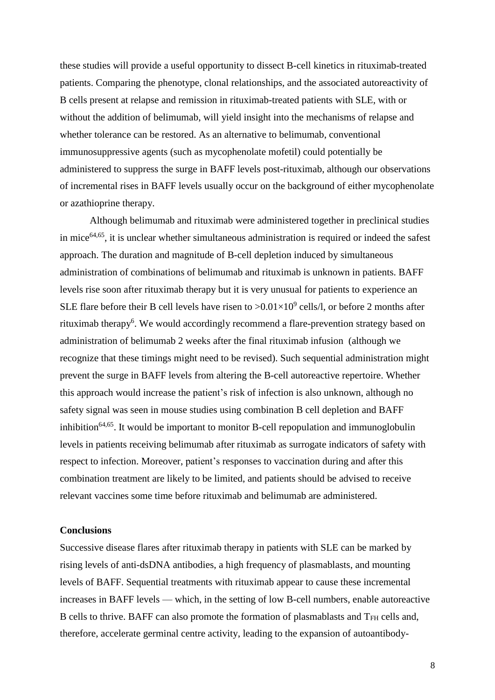these studies will provide a useful opportunity to dissect B-cell kinetics in rituximab-treated patients. Comparing the phenotype, clonal relationships, and the associated autoreactivity of B cells present at relapse and remission in rituximab-treated patients with SLE, with or without the addition of belimumab, will yield insight into the mechanisms of relapse and whether tolerance can be restored. As an alternative to belimumab, conventional immunosuppressive agents (such as mycophenolate mofetil) could potentially be administered to suppress the surge in BAFF levels post-rituximab, although our observations of incremental rises in BAFF levels usually occur on the background of either mycophenolate or azathioprine therapy.

Although belimumab and rituximab were administered together in preclinical studies in mice<sup>[64,](#page-11-8)[65](#page-11-9)</sup>, it is unclear whether simultaneous administration is required or indeed the safest approach. The duration and magnitude of B-cell depletion induced by simultaneous administration of combinations of belimumab and rituximab is unknown in patients. BAFF levels rise soon after rituximab therapy but it is very unusual for patients to experience an SLE flare before their B cell levels have risen to  $>0.01\times10^9$  cells/l, or before 2 months after rituximab therap[y](#page-8-5)<sup>6</sup>. We would accordingly recommend a flare-prevention strategy based on administration of belimumab 2 weeks after the final rituximab infusion (although we recognize that these timings might need to be revised). Such sequential administration might prevent the surge in BAFF levels from altering the B-cell autoreactive repertoire. Whether this approach would increase the patient's risk of infection is also unknown, although no safety signal was seen in mouse studies using combination B cell depletion and BAFF inhibition<sup>[64,](#page-11-8)[65](#page-11-9)</sup>. It would be important to monitor B-cell repopulation and immunoglobulin levels in patients receiving belimumab after rituximab as surrogate indicators of safety with respect to infection. Moreover, patient's responses to vaccination during and after this combination treatment are likely to be limited, and patients should be advised to receive relevant vaccines some time before rituximab and belimumab are administered.

### **Conclusions**

Successive disease flares after rituximab therapy in patients with SLE can be marked by rising levels of anti-dsDNA antibodies, a high frequency of plasmablasts, and mounting levels of BAFF. Sequential treatments with rituximab appear to cause these incremental increases in BAFF levels — which, in the setting of low B-cell numbers, enable autoreactive B cells to thrive. BAFF can also promote the formation of plasmablasts and T<sub>FH</sub> cells and, therefore, accelerate germinal centre activity, leading to the expansion of autoantibody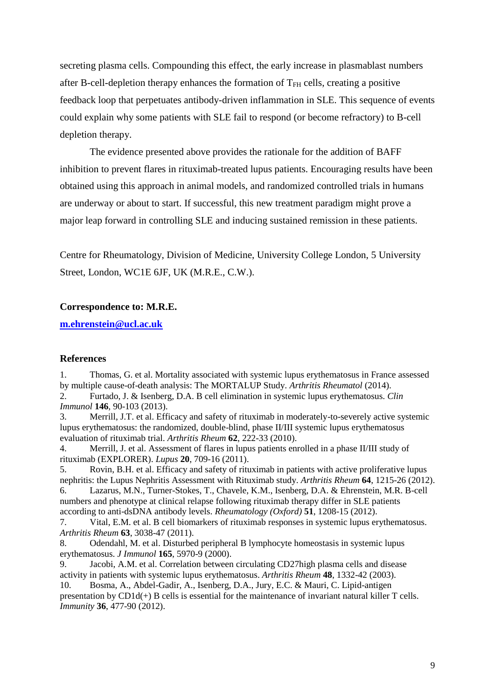secreting plasma cells. Compounding this effect, the early increase in plasmablast numbers after B-cell-depletion therapy enhances the formation of  $T<sub>FH</sub>$  cells, creating a positive feedback loop that perpetuates antibody-driven inflammation in SLE. This sequence of events could explain why some patients with SLE fail to respond (or become refractory) to B-cell depletion therapy.

The evidence presented above provides the rationale for the addition of BAFF inhibition to prevent flares in rituximab-treated lupus patients. Encouraging results have been obtained using this approach in animal models, and randomized controlled trials in humans are underway or about to start. If successful, this new treatment paradigm might prove a major leap forward in controlling SLE and inducing sustained remission in these patients.

Centre for Rheumatology, Division of Medicine, University College London, 5 University Street, London, WC1E 6JF, UK (M.R.E., C.W.).

# **Correspondence to: M.R.E.**

**[m.ehrenstein@ucl.ac.uk](mailto:m.ehrenstein@ucl.ac.uk)**

# **References**

<span id="page-8-0"></span>1. Thomas, G. et al. Mortality associated with systemic lupus erythematosus in France assessed by multiple cause-of-death analysis: The MORTALUP Study. *Arthritis Rheumatol* (2014).

<span id="page-8-1"></span>2. Furtado, J. & Isenberg, D.A. B cell elimination in systemic lupus erythematosus. *Clin Immunol* **146**, 90-103 (2013).

<span id="page-8-2"></span>3. Merrill, J.T. et al. Efficacy and safety of rituximab in moderately-to-severely active systemic lupus erythematosus: the randomized, double-blind, phase II/III systemic lupus erythematosus evaluation of rituximab trial. *Arthritis Rheum* **62**, 222-33 (2010).

<span id="page-8-3"></span>4. Merrill, J. et al. Assessment of flares in lupus patients enrolled in a phase II/III study of rituximab (EXPLORER). *Lupus* **20**, 709-16 (2011).

<span id="page-8-4"></span>5. Rovin, B.H. et al. Efficacy and safety of rituximab in patients with active proliferative lupus nephritis: the Lupus Nephritis Assessment with Rituximab study. *Arthritis Rheum* **64**, 1215-26 (2012).

<span id="page-8-5"></span>6. Lazarus, M.N., Turner-Stokes, T., Chavele, K.M., Isenberg, D.A. & Ehrenstein, M.R. B-cell numbers and phenotype at clinical relapse following rituximab therapy differ in SLE patients according to anti-dsDNA antibody levels. *Rheumatology (Oxford)* **51**, 1208-15 (2012).

<span id="page-8-6"></span>7. Vital, E.M. et al. B cell biomarkers of rituximab responses in systemic lupus erythematosus. *Arthritis Rheum* **63**, 3038-47 (2011).

<span id="page-8-7"></span>8. Odendahl, M. et al. Disturbed peripheral B lymphocyte homeostasis in systemic lupus erythematosus. *J Immunol* **165**, 5970-9 (2000).

<span id="page-8-8"></span>9. Jacobi, A.M. et al. Correlation between circulating CD27high plasma cells and disease activity in patients with systemic lupus erythematosus. *Arthritis Rheum* **48**, 1332-42 (2003).

<span id="page-8-9"></span>10. Bosma, A., Abdel-Gadir, A., Isenberg, D.A., Jury, E.C. & Mauri, C. Lipid-antigen presentation by CD1d(+) B cells is essential for the maintenance of invariant natural killer T cells. *Immunity* **36**, 477-90 (2012).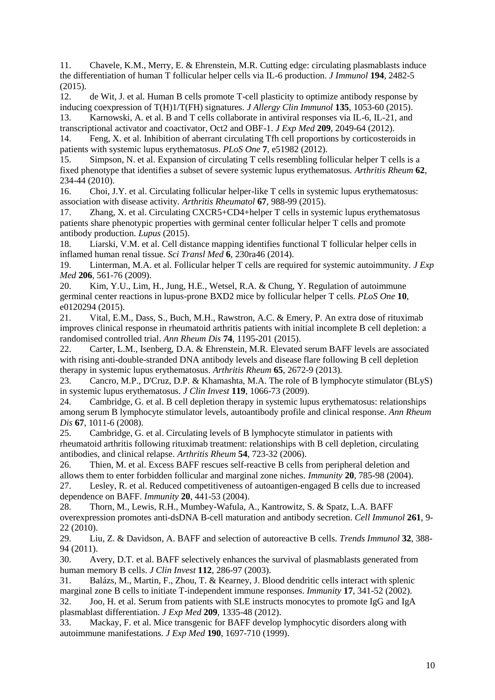<span id="page-9-0"></span>11. Chavele, K.M., Merry, E. & Ehrenstein, M.R. Cutting edge: circulating plasmablasts induce the differentiation of human T follicular helper cells via IL-6 production. *J Immunol* **194**, 2482-5 (2015).

<span id="page-9-1"></span>12. de Wit, J. et al. Human B cells promote T-cell plasticity to optimize antibody response by inducing coexpression of T(H)1/T(FH) signatures. *J Allergy Clin Immunol* **135**, 1053-60 (2015).

<span id="page-9-2"></span>13. Karnowski, A. et al. B and T cells collaborate in antiviral responses via IL-6, IL-21, and transcriptional activator and coactivator, Oct2 and OBF-1. *J Exp Med* **209**, 2049-64 (2012).

<span id="page-9-3"></span>14. Feng, X. et al. Inhibition of aberrant circulating Tfh cell proportions by corticosteroids in patients with systemic lupus erythematosus. *PLoS One* **7**, e51982 (2012).

15. Simpson, N. et al. Expansion of circulating T cells resembling follicular helper T cells is a fixed phenotype that identifies a subset of severe systemic lupus erythematosus. *Arthritis Rheum* **62**, 234-44 (2010).

16. Choi, J.Y. et al. Circulating follicular helper-like T cells in systemic lupus erythematosus: association with disease activity. *Arthritis Rheumatol* **67**, 988-99 (2015).

<span id="page-9-4"></span>17. Zhang, X. et al. Circulating CXCR5+CD4+helper T cells in systemic lupus erythematosus patients share phenotypic properties with germinal center follicular helper T cells and promote antibody production. *Lupus* (2015).

<span id="page-9-5"></span>18. Liarski, V.M. et al. Cell distance mapping identifies functional T follicular helper cells in inflamed human renal tissue. *Sci Transl Med* **6**, 230ra46 (2014).

<span id="page-9-6"></span>19. Linterman, M.A. et al. Follicular helper T cells are required for systemic autoimmunity. *J Exp Med* **206**, 561-76 (2009).

<span id="page-9-7"></span>20. Kim, Y.U., Lim, H., Jung, H.E., Wetsel, R.A. & Chung, Y. Regulation of autoimmune germinal center reactions in lupus-prone BXD2 mice by follicular helper T cells. *PLoS One* **10**, e0120294 (2015).

<span id="page-9-8"></span>21. Vital, E.M., Dass, S., Buch, M.H., Rawstron, A.C. & Emery, P. An extra dose of rituximab improves clinical response in rheumatoid arthritis patients with initial incomplete B cell depletion: a randomised controlled trial. *Ann Rheum Dis* **74**, 1195-201 (2015).

<span id="page-9-9"></span>22. Carter, L.M., Isenberg, D.A. & Ehrenstein, M.R. Elevated serum BAFF levels are associated with rising anti-double-stranded DNA antibody levels and disease flare following B cell depletion therapy in systemic lupus erythematosus. *Arthritis Rheum* **65**, 2672-9 (2013).

<span id="page-9-10"></span>23. Cancro, M.P., D'Cruz, D.P. & Khamashta, M.A. The role of B lymphocyte stimulator (BLyS) in systemic lupus erythematosus. *J Clin Invest* **119**, 1066-73 (2009).

<span id="page-9-11"></span>24. Cambridge, G. et al. B cell depletion therapy in systemic lupus erythematosus: relationships among serum B lymphocyte stimulator levels, autoantibody profile and clinical response. *Ann Rheum Dis* **67**, 1011-6 (2008).

<span id="page-9-12"></span>25. Cambridge, G. et al. Circulating levels of B lymphocyte stimulator in patients with rheumatoid arthritis following rituximab treatment: relationships with B cell depletion, circulating antibodies, and clinical relapse. *Arthritis Rheum* **54**, 723-32 (2006).

<span id="page-9-13"></span>26. Thien, M. et al. Excess BAFF rescues self-reactive B cells from peripheral deletion and allows them to enter forbidden follicular and marginal zone niches. *Immunity* **20**, 785-98 (2004).

<span id="page-9-14"></span>27. Lesley, R. et al. Reduced competitiveness of autoantigen-engaged B cells due to increased dependence on BAFF. *Immunity* **20**, 441-53 (2004).

28. Thorn, M., Lewis, R.H., Mumbey-Wafula, A., Kantrowitz, S. & Spatz, L.A. BAFF overexpression promotes anti-dsDNA B-cell maturation and antibody secretion. *Cell Immunol* **261**, 9- 22 (2010).

29. Liu, Z. & Davidson, A. BAFF and selection of autoreactive B cells. *Trends Immunol* **32**, 388- 94 (2011).

<span id="page-9-15"></span>30. Avery, D.T. et al. BAFF selectively enhances the survival of plasmablasts generated from human memory B cells. *J Clin Invest* **112**, 286-97 (2003).

<span id="page-9-16"></span>31. Balázs, M., Martin, F., Zhou, T. & Kearney, J. Blood dendritic cells interact with splenic marginal zone B cells to initiate T-independent immune responses. *Immunity* **17**, 341-52 (2002). 32. Joo, H. et al. Serum from patients with SLE instructs monocytes to promote IgG and IgA

<span id="page-9-17"></span>plasmablast differentiation. *J Exp Med* **209**, 1335-48 (2012).

<span id="page-9-18"></span>33. Mackay, F. et al. Mice transgenic for BAFF develop lymphocytic disorders along with autoimmune manifestations. *J Exp Med* **190**, 1697-710 (1999).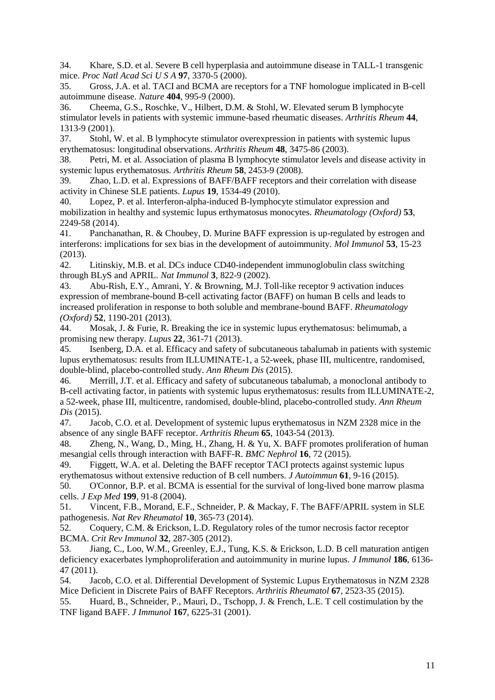<span id="page-10-0"></span>34. Khare, S.D. et al. Severe B cell hyperplasia and autoimmune disease in TALL-1 transgenic mice. *Proc Natl Acad Sci U S A* **97**, 3370-5 (2000).

<span id="page-10-1"></span>35. Gross, J.A. et al. TACI and BCMA are receptors for a TNF homologue implicated in B-cell autoimmune disease. *Nature* **404**, 995-9 (2000).

<span id="page-10-2"></span>36. Cheema, G.S., Roschke, V., Hilbert, D.M. & Stohl, W. Elevated serum B lymphocyte stimulator levels in patients with systemic immune-based rheumatic diseases. *Arthritis Rheum* **44**, 1313-9 (2001).

<span id="page-10-3"></span>37. Stohl, W. et al. B lymphocyte stimulator overexpression in patients with systemic lupus erythematosus: longitudinal observations. *Arthritis Rheum* **48**, 3475-86 (2003).

<span id="page-10-4"></span>38. Petri, M. et al. Association of plasma B lymphocyte stimulator levels and disease activity in systemic lupus erythematosus. *Arthritis Rheum* **58**, 2453-9 (2008).

<span id="page-10-5"></span>39. Zhao, L.D. et al. Expressions of BAFF/BAFF receptors and their correlation with disease activity in Chinese SLE patients. *Lupus* **19**, 1534-49 (2010).

<span id="page-10-6"></span>40. Lopez, P. et al. Interferon-alpha-induced B-lymphocyte stimulator expression and mobilization in healthy and systemic lupus erthymatosus monocytes. *Rheumatology (Oxford)* **53**, 2249-58 (2014).

41. Panchanathan, R. & Choubey, D. Murine BAFF expression is up-regulated by estrogen and interferons: implications for sex bias in the development of autoimmunity. *Mol Immunol* **53**, 15-23 (2013).

42. Litinskiy, M.B. et al. DCs induce CD40-independent immunoglobulin class switching through BLyS and APRIL. *Nat Immunol* **3**, 822-9 (2002).

<span id="page-10-7"></span>43. Abu-Rish, E.Y., Amrani, Y. & Browning, M.J. Toll-like receptor 9 activation induces expression of membrane-bound B-cell activating factor (BAFF) on human B cells and leads to increased proliferation in response to both soluble and membrane-bound BAFF. *Rheumatology (Oxford)* **52**, 1190-201 (2013).

<span id="page-10-8"></span>44. Mosak, J. & Furie, R. Breaking the ice in systemic lupus erythematosus: belimumab, a promising new therapy. *Lupus* **22**, 361-71 (2013).

<span id="page-10-9"></span>45. Isenberg, D.A. et al. Efficacy and safety of subcutaneous tabalumab in patients with systemic lupus erythematosus: results from ILLUMINATE-1, a 52-week, phase III, multicentre, randomised, double-blind, placebo-controlled study. *Ann Rheum Dis* (2015).

<span id="page-10-10"></span>46. Merrill, J.T. et al. Efficacy and safety of subcutaneous tabalumab, a monoclonal antibody to B-cell activating factor, in patients with systemic lupus erythematosus: results from ILLUMINATE-2, a 52-week, phase III, multicentre, randomised, double-blind, placebo-controlled study. *Ann Rheum Dis* (2015).

<span id="page-10-11"></span>47. Jacob, C.O. et al. Development of systemic lupus erythematosus in NZM 2328 mice in the absence of any single BAFF receptor. *Arthritis Rheum* **65**, 1043-54 (2013).

<span id="page-10-12"></span>48. Zheng, N., Wang, D., Ming, H., Zhang, H. & Yu, X. BAFF promotes proliferation of human mesangial cells through interaction with BAFF-R. *BMC Nephrol* **16**, 72 (2015).

<span id="page-10-13"></span>49. Figgett, W.A. et al. Deleting the BAFF receptor TACI protects against systemic lupus erythematosus without extensive reduction of B cell numbers. *J Autoimmun* **61**, 9-16 (2015).

<span id="page-10-14"></span>50. O'Connor, B.P. et al. BCMA is essential for the survival of long-lived bone marrow plasma cells. *J Exp Med* **199**, 91-8 (2004).

<span id="page-10-15"></span>51. Vincent, F.B., Morand, E.F., Schneider, P. & Mackay, F. The BAFF/APRIL system in SLE pathogenesis. *Nat Rev Rheumatol* **10**, 365-73 (2014).

<span id="page-10-16"></span>52. Coquery, C.M. & Erickson, L.D. Regulatory roles of the tumor necrosis factor receptor BCMA. *Crit Rev Immunol* **32**, 287-305 (2012).

<span id="page-10-17"></span>53. Jiang, C., Loo, W.M., Greenley, E.J., Tung, K.S. & Erickson, L.D. B cell maturation antigen deficiency exacerbates lymphoproliferation and autoimmunity in murine lupus. *J Immunol* **186**, 6136- 47 (2011).

<span id="page-10-18"></span>54. Jacob, C.O. et al. Differential Development of Systemic Lupus Erythematosus in NZM 2328 Mice Deficient in Discrete Pairs of BAFF Receptors. *Arthritis Rheumatol* **67**, 2523-35 (2015).

<span id="page-10-19"></span>55. Huard, B., Schneider, P., Mauri, D., Tschopp, J. & French, L.E. T cell costimulation by the TNF ligand BAFF. *J Immunol* **167**, 6225-31 (2001).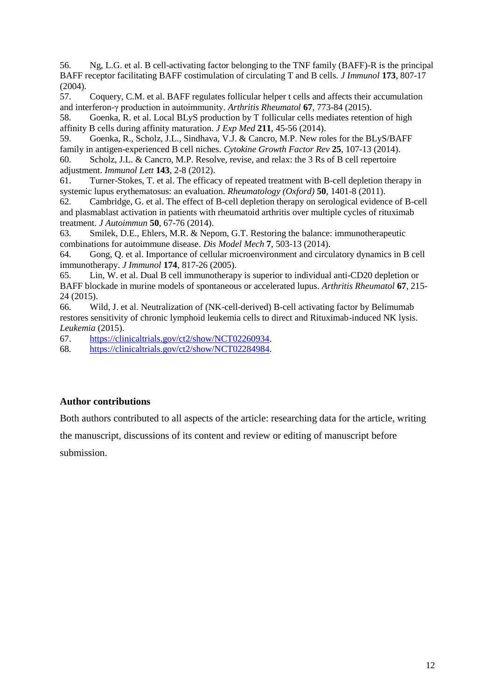<span id="page-11-0"></span>56. Ng, L.G. et al. B cell-activating factor belonging to the TNF family (BAFF)-R is the principal BAFF receptor facilitating BAFF costimulation of circulating T and B cells. *J Immunol* **173**, 807-17 (2004).

<span id="page-11-1"></span>57. Coquery, C.M. et al. BAFF regulates follicular helper t cells and affects their accumulation and interferon-γ production in autoimmunity. *Arthritis Rheumatol* **67**, 773-84 (2015).

<span id="page-11-2"></span>58. Goenka, R. et al. Local BLyS production by T follicular cells mediates retention of high affinity B cells during affinity maturation. *J Exp Med* **211**, 45-56 (2014).

<span id="page-11-3"></span>59. Goenka, R., Scholz, J.L., Sindhava, V.J. & Cancro, M.P. New roles for the BLyS/BAFF family in antigen-experienced B cell niches. *Cytokine Growth Factor Rev* **25**, 107-13 (2014). 60. Scholz, J.L. & Cancro, M.P. Resolve, revise, and relax: the 3 Rs of B cell repertoire adjustment. *Immunol Lett* **143**, 2-8 (2012).

<span id="page-11-5"></span><span id="page-11-4"></span>61. Turner-Stokes, T. et al. The efficacy of repeated treatment with B-cell depletion therapy in systemic lupus erythematosus: an evaluation. *Rheumatology (Oxford)* **50**, 1401-8 (2011).

<span id="page-11-6"></span>62. Cambridge, G. et al. The effect of B-cell depletion therapy on serological evidence of B-cell and plasmablast activation in patients with rheumatoid arthritis over multiple cycles of rituximab treatment. *J Autoimmun* **50**, 67-76 (2014).

<span id="page-11-7"></span>63. Smilek, D.E., Ehlers, M.R. & Nepom, G.T. Restoring the balance: immunotherapeutic combinations for autoimmune disease. *Dis Model Mech* **7**, 503-13 (2014).

<span id="page-11-8"></span>64. Gong, Q. et al. Importance of cellular microenvironment and circulatory dynamics in B cell immunotherapy. *J Immunol* **174**, 817-26 (2005).

<span id="page-11-9"></span>65. Lin, W. et al. Dual B cell immunotherapy is superior to individual anti-CD20 depletion or BAFF blockade in murine models of spontaneous or accelerated lupus. *Arthritis Rheumatol* **67**, 215- 24 (2015).

<span id="page-11-10"></span>66. Wild, J. et al. Neutralization of (NK-cell-derived) B-cell activating factor by Belimumab restores sensitivity of chronic lymphoid leukemia cells to direct and Rituximab-induced NK lysis. *Leukemia* (2015).

<span id="page-11-11"></span>67. [https://clinicaltrials.gov/ct2/show/NCT02260934.](https://clinicaltrials.gov/ct2/show/NCT02260934)

<span id="page-11-12"></span>68. [https://clinicaltrials.gov/ct2/show/NCT02284984.](https://clinicaltrials.gov/ct2/show/NCT02284984)

# **Author contributions**

Both authors contributed to all aspects of the article: researching data for the article, writing

the manuscript, discussions of its content and review or editing of manuscript before

submission.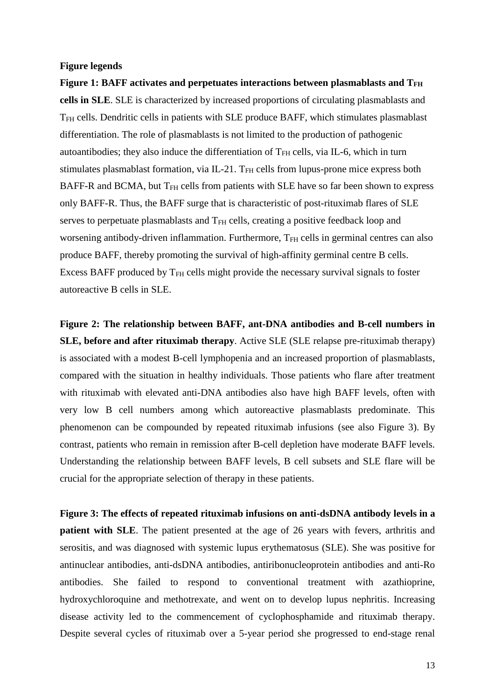### **Figure legends**

**Figure 1: BAFF activates and perpetuates interactions between plasmablasts and TFH cells in SLE**. SLE is characterized by increased proportions of circulating plasmablasts and TFH cells. Dendritic cells in patients with SLE produce BAFF, which stimulates plasmablast differentiation. The role of plasmablasts is not limited to the production of pathogenic autoantibodies; they also induce the differentiation of  $T<sub>FH</sub>$  cells, via IL-6, which in turn stimulates plasmablast formation, via IL-21. T<sub>FH</sub> cells from lupus-prone mice express both BAFF-R and BCMA, but T<sub>FH</sub> cells from patients with SLE have so far been shown to express only BAFF-R. Thus, the BAFF surge that is characteristic of post-rituximab flares of SLE serves to perpetuate plasmablasts and T<sub>FH</sub> cells, creating a positive feedback loop and worsening antibody-driven inflammation. Furthermore, T<sub>FH</sub> cells in germinal centres can also produce BAFF, thereby promoting the survival of high-affinity germinal centre B cells. Excess BAFF produced by  $T<sub>FH</sub>$  cells might provide the necessary survival signals to foster autoreactive B cells in SLE.

**Figure 2: The relationship between BAFF, ant-DNA antibodies and B-cell numbers in SLE, before and after rituximab therapy**. Active SLE (SLE relapse pre-rituximab therapy) is associated with a modest B-cell lymphopenia and an increased proportion of plasmablasts, compared with the situation in healthy individuals. Those patients who flare after treatment with rituximab with elevated anti-DNA antibodies also have high BAFF levels, often with very low B cell numbers among which autoreactive plasmablasts predominate. This phenomenon can be compounded by repeated rituximab infusions (see also Figure 3). By contrast, patients who remain in remission after B-cell depletion have moderate BAFF levels. Understanding the relationship between BAFF levels, B cell subsets and SLE flare will be crucial for the appropriate selection of therapy in these patients.

**Figure 3: The effects of repeated rituximab infusions on anti-dsDNA antibody levels in a patient with SLE**. The patient presented at the age of 26 years with fevers, arthritis and serositis, and was diagnosed with systemic lupus erythematosus (SLE). She was positive for antinuclear antibodies, anti-dsDNA antibodies, antiribonucleoprotein antibodies and anti-Ro antibodies. She failed to respond to conventional treatment with azathioprine, hydroxychloroquine and methotrexate, and went on to develop lupus nephritis. Increasing disease activity led to the commencement of cyclophosphamide and rituximab therapy. Despite several cycles of rituximab over a 5-year period she progressed to end-stage renal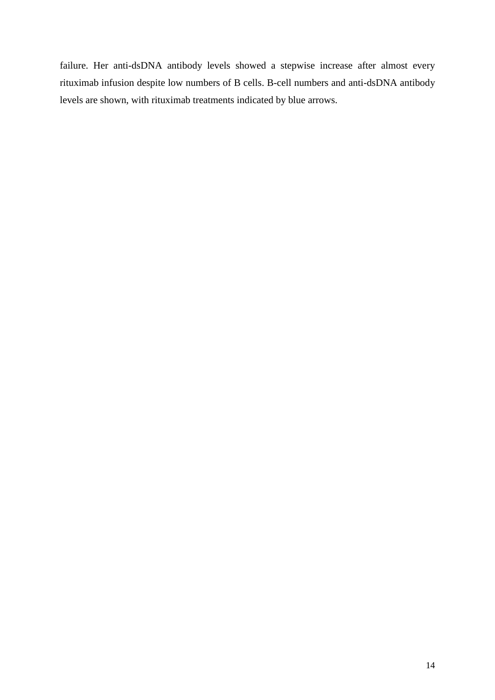failure. Her anti-dsDNA antibody levels showed a stepwise increase after almost every rituximab infusion despite low numbers of B cells. B-cell numbers and anti-dsDNA antibody levels are shown, with rituximab treatments indicated by blue arrows.